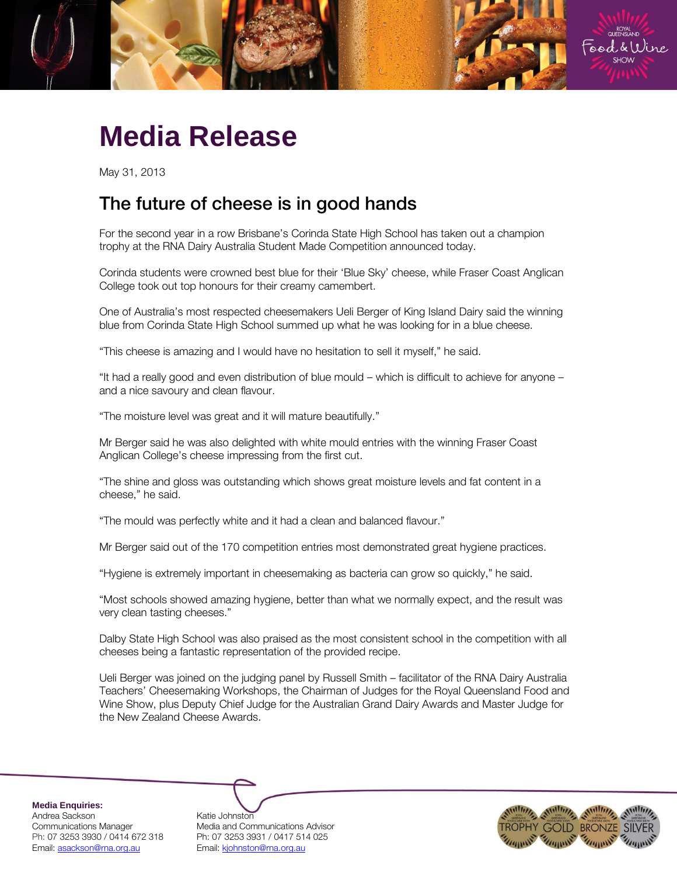

## **Media Release**

May 31, 2013

## The future of cheese is in good hands

For the second year in a row Brisbane's Corinda State High School has taken out a champion trophy at the RNA Dairy Australia Student Made Competition announced today.

Corinda students were crowned best blue for their 'Blue Sky' cheese, while Fraser Coast Anglican College took out top honours for their creamy camembert.

One of Australia's most respected cheesemakers Ueli Berger of King Island Dairy said the winning blue from Corinda State High School summed up what he was looking for in a blue cheese.

"This cheese is amazing and I would have no hesitation to sell it myself," he said.

"It had a really good and even distribution of blue mould – which is difficult to achieve for anyone – and a nice savoury and clean flavour.

"The moisture level was great and it will mature beautifully."

Mr Berger said he was also delighted with white mould entries with the winning Fraser Coast Anglican College's cheese impressing from the first cut.

"The shine and gloss was outstanding which shows great moisture levels and fat content in a cheese," he said.

"The mould was perfectly white and it had a clean and balanced flavour."

Mr Berger said out of the 170 competition entries most demonstrated great hygiene practices.

"Hygiene is extremely important in cheesemaking as bacteria can grow so quickly," he said.

"Most schools showed amazing hygiene, better than what we normally expect, and the result was very clean tasting cheeses."

Dalby State High School was also praised as the most consistent school in the competition with all cheeses being a fantastic representation of the provided recipe.

Ueli Berger was joined on the judging panel by Russell Smith – facilitator of the RNA Dairy Australia Teachers' Cheesemaking Workshops, the Chairman of Judges for the Royal Queensland Food and Wine Show, plus Deputy Chief Judge for the Australian Grand Dairy Awards and Master Judge for the New Zealand Cheese Awards.

**Media Enquiries:**

Andrea Sackson Katie Johnston Ph: 07 3253 3930 / 0414 672 318 Ph: 07 3253 3931 / 0417 514 025 Email: asackson@rna.org.au Email: kjohnston@rna.org.au

Communications Manager Media and Communications Advisor